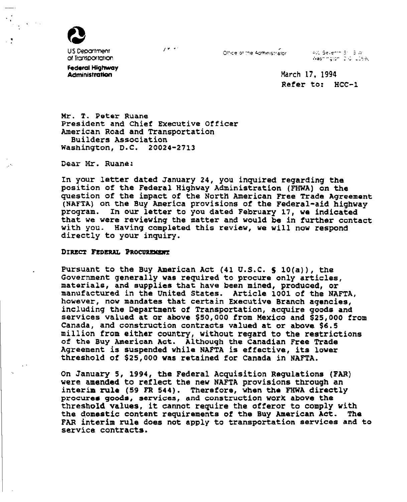

US Department of Transportation  $\mathbf{y}$  in the set of

Othce of the Administrator

400 Sevenin 31, 3 W. Washington, 2.0, 10590

Federal Highway **Administration** 

**March 17, 1994 Refer to: BCC-1** 

**Mr. T. Peter Ruane President and Chief Executive Officer American Road and Transportation Builders Association Washington, D.C. 20024-2713** 

**Peai i4r. Ruane:** 

**In your letter dated January 24, you inquired regarding the position of the Federal Highway Administration (FHWA) on the question of the impact of the North American Free Trade Agreement (NAFTA) on the Buy America provisions of the Federal-aid highway program. In our letter to you dated February 17, we indicated that we were reviewing the matter and would be in further contact with you- Having completed this review, we will now respond directly to your inquiry.** 

## DIRECT FEDERAL PROCUREMENT

**Pursuant to the Buy American Act (41 U.S.C. S 10(a)), me Government generally was required to procure only articles, materials, and supplies that have been mined, produced, or manufactured in the United States. Article 1001 of the NAFTA, however, now mandates that certain Executive Branch agencies, including the Department of Transportation, acquire goods and services valued at or above \$50,000 from Mexico and \$25,000 from Canada, and construction contracts valued at or above \$6,5 million from either country, without regard to the restrictions of the Buy American Act. Although the Canadian Free Trade Agreement is suspended while NAFTA is effective, its lower threshold of \$25,000 was retained for Canada in NAFTA,** 

**On January 5, 1994, the Federal Acquisition ~egulations (FAR) were amended to refleet the new NAFTA provisions through an interim rule (59 FR 544). Therefore, when the FIIWA directly procures goods, services, and construction work above the threshold values, it cannot require the afferor to comply with the domestic content requirements of the Buy Merican Act. The FAR interim rule does not apply to transportation services and to service contracts.**